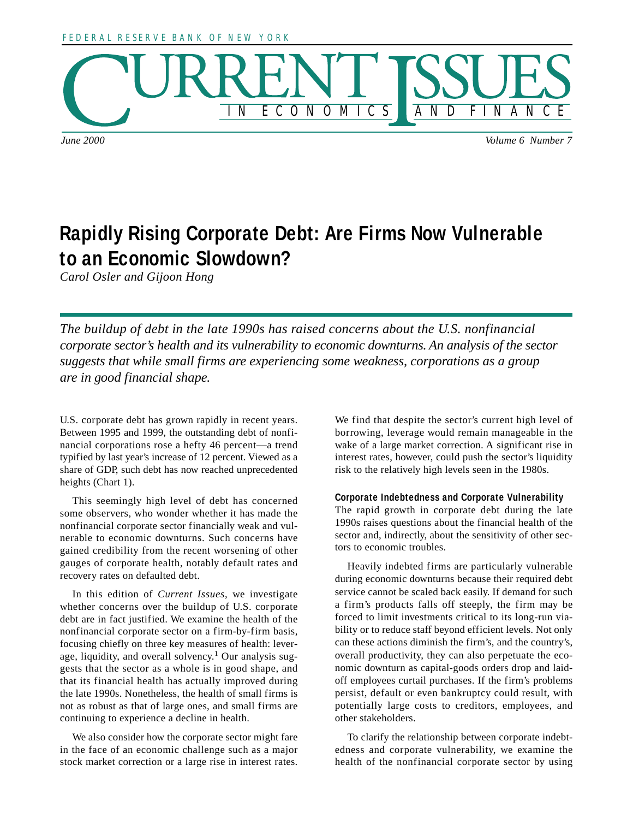



*June 2000 Volume 6 Number 7*

# **Rapidly Rising Corporate Debt: Are Firms Now Vulnerable to an Economic Slowdown?**

*Carol Osler and Gijoon Hong*

*The buildup of debt in the late 1990s has raised concerns about the U.S. nonfinancial corporate sector's health and its vulnerability to economic downturns. An analysis of the sector suggests that while small firms are experiencing some weakness, corporations as a group are in good financial shape.*

U.S. corporate debt has grown rapidly in recent years. Between 1995 and 1999, the outstanding debt of nonfinancial corporations rose a hefty 46 percent—a trend typified by last year's increase of 12 percent. Viewed as a share of GDP, such debt has now reached unprecedented heights (Chart 1).

This seemingly high level of debt has concerned some observers, who wonder whether it has made the nonfinancial corporate sector financially weak and vulnerable to economic downturns. Such concerns have gained credibility from the recent worsening of other gauges of corporate health, notably default rates and recovery rates on defaulted debt.

In this edition of *Current Issues*, we investigate whether concerns over the buildup of U.S. corporate debt are in fact justified. We examine the health of the nonfinancial corporate sector on a firm-by-firm basis, focusing chiefly on three key measures of health: leverage, liquidity, and overall solvency.<sup>1</sup> Our analysis suggests that the sector as a whole is in good shape, and that its financial health has actually improved during the late 1990s. Nonetheless, the health of small firms is not as robust as that of large ones, and small firms are continuing to experience a decline in health.

We also consider how the corporate sector might fare in the face of an economic challenge such as a major stock market correction or a large rise in interest rates.

We find that despite the sector's current high level of borrowing, leverage would remain manageable in the wake of a large market correction. A significant rise in interest rates, however, could push the sector's liquidity risk to the relatively high levels seen in the 1980s.

# **Corporate Indebtedness and Corporate Vulnerability**

The rapid growth in corporate debt during the late 1990s raises questions about the financial health of the sector and, indirectly, about the sensitivity of other sectors to economic troubles.

Heavily indebted firms are particularly vulnerable during economic downturns because their required debt service cannot be scaled back easily. If demand for such a firm's products falls off steeply, the firm may be forced to limit investments critical to its long-run viability or to reduce staff beyond efficient levels. Not only can these actions diminish the firm's, and the country's, overall productivity, they can also perpetuate the economic downturn as capital-goods orders drop and laidoff employees curtail purchases. If the firm's problems persist, default or even bankruptcy could result, with potentially large costs to creditors, employees, and other stakeholders.

To clarify the relationship between corporate indebtedness and corporate vulnerability, we examine the health of the nonfinancial corporate sector by using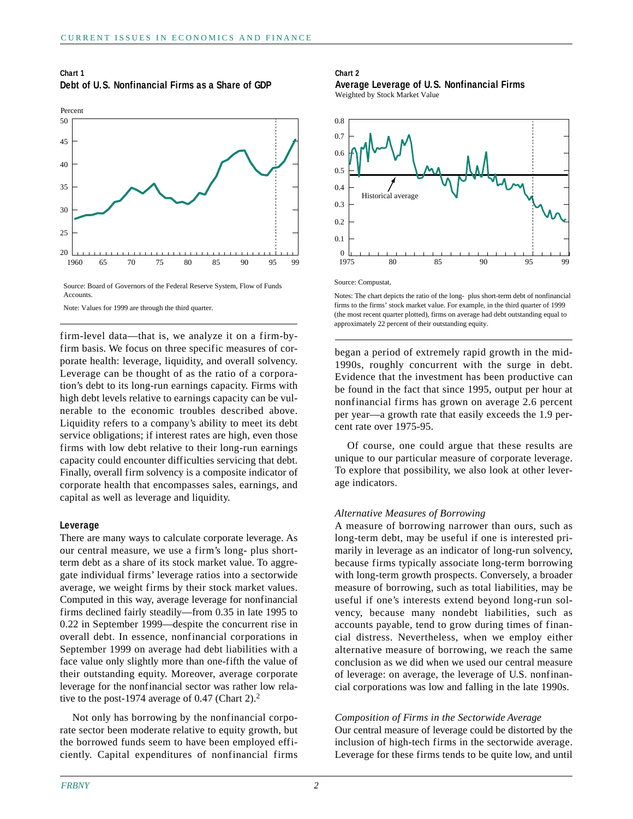## **Chart 1 Debt of U.S. Nonfinancial Firms as a Share of GDP**



Source: Board of Governors of the Federal Reserve System, Flow of Funds **Accounts** 

Note: Values for 1999 are through the third quarter.

firm-level data—that is, we analyze it on a firm-byfirm basis. We focus on three specific measures of corporate health: leverage, liquidity, and overall solvency. Leverage can be thought of as the ratio of a corporation's debt to its long-run earnings capacity. Firms with high debt levels relative to earnings capacity can be vulnerable to the economic troubles described above. Liquidity refers to a company's ability to meet its debt service obligations; if interest rates are high, even those firms with low debt relative to their long-run earnings capacity could encounter difficulties servicing that debt. Finally, overall firm solvency is a composite indicator of corporate health that encompasses sales, earnings, and capital as well as leverage and liquidity.

## **Leverage**

There are many ways to calculate corporate leverage. As our central measure, we use a firm's long- plus shortterm debt as a share of its stock market value. To aggregate individual firms' leverage ratios into a sectorwide average, we weight firms by their stock market values. Computed in this way, average leverage for nonfinancial firms declined fairly steadily—from 0.35 in late 1995 to 0.22 in September 1999—despite the concurrent rise in overall debt. In essence, nonfinancial corporations in September 1999 on average had debt liabilities with a face value only slightly more than one-fifth the value of their outstanding equity. Moreover, average corporate leverage for the nonfinancial sector was rather low relative to the post-1974 average of 0.47 (Chart 2).<sup>2</sup>

Not only has borrowing by the nonfinancial corporate sector been moderate relative to equity growth, but the borrowed funds seem to have been employed efficiently. Capital expenditures of nonfinancial firms

## **Chart 2**

**Average Leverage of U.S. Nonfinancial Firms** Weighted by Stock Market Value



Notes: The chart depicts the ratio of the long- plus short-term debt of nonfinancial

firms to the firms' stock market value. For example, in the third quarter of 1999 (the most recent quarter plotted), firms on average had debt outstanding equal to approximately 22 percent of their outstanding equity.

began a period of extremely rapid growth in the mid-1990s, roughly concurrent with the surge in debt. Evidence that the investment has been productive can be found in the fact that since 1995, output per hour at nonfinancial firms has grown on average 2.6 percent per year—a growth rate that easily exceeds the 1.9 percent rate over 1975-95.

Of course, one could argue that these results are unique to our particular measure of corporate leverage. To explore that possibility, we also look at other leverage indicators.

# *Alternative Measures of Borrowing*

A measure of borrowing narrower than ours, such as long-term debt, may be useful if one is interested primarily in leverage as an indicator of long-run solvency, because firms typically associate long-term borrowing with long-term growth prospects. Conversely, a broader measure of borrowing, such as total liabilities, may be useful if one's interests extend beyond long-run solvency, because many nondebt liabilities, such as accounts payable, tend to grow during times of financial distress. Nevertheless, when we employ either alternative measure of borrowing, we reach the same conclusion as we did when we used our central measure of leverage: on average, the leverage of U.S. nonfinancial corporations was low and falling in the late 1990s.

# *Composition of Firms in the Sectorwide Average*

Our central measure of leverage could be distorted by the inclusion of high-tech firms in the sectorwide average. Leverage for these firms tends to be quite low, and until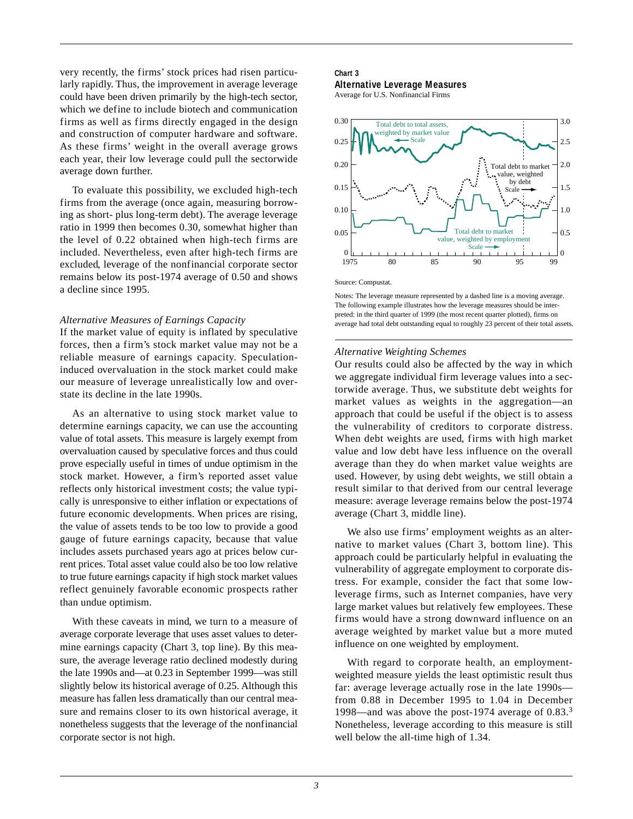very recently, the firms' stock prices had risen particularly rapidly. Thus, the improvement in average leverage could have been driven primarily by the high-tech sector, which we define to include biotech and communication firms as well as firms directly engaged in the design and construction of computer hardware and software. As these firms' weight in the overall average grows each year, their low leverage could pull the sectorwide average down further.

To evaluate this possibility, we excluded high-tech firms from the average (once again, measuring borrowing as short- plus long-term debt). The average leverage ratio in 1999 then becomes 0.30, somewhat higher than the level of 0.22 obtained when high-tech firms are included. Nevertheless, even after high-tech firms are excluded, leverage of the nonfinancial corporate sector remains below its post-1974 average of 0.50 and shows a decline since 1995.

## *Alternative Measures of Earnings Capacity*

If the market value of equity is inflated by speculative forces, then a firm's stock market value may not be a reliable measure of earnings capacity. Speculationinduced overvaluation in the stock market could make our measure of leverage unrealistically low and overstate its decline in the late 1990s.

As an alternative to using stock market value to determine earnings capacity, we can use the accounting value of total assets. This measure is largely exempt from overvaluation caused by speculative forces and thus could prove especially useful in times of undue optimism in the stock market. However, a firm's reported asset value reflects only historical investment costs; the value typically is unresponsive to either inflation or expectations of future economic developments. When prices are rising, the value of assets tends to be too low to provide a good gauge of future earnings capacity, because that value includes assets purchased years ago at prices below current prices. Total asset value could also be too low relative to true future earnings capacity if high stock market values reflect genuinely favorable economic prospects rather than undue optimism.

With these caveats in mind, we turn to a measure of average corporate leverage that uses asset values to determine earnings capacity (Chart 3, top line). By this measure, the average leverage ratio declined modestly during the late 1990s and—at 0.23 in September 1999—was still slightly below its historical average of 0.25. Although this measure has fallen less dramatically than our central measure and remains closer to its own historical average, it nonetheless suggests that the leverage of the nonfinancial corporate sector is not high.

# **Chart 3**

**Alternative Leverage Measures**

Average for U.S. Nonfinancial Firms



Source: Compustat.

Notes: The leverage measure represented by a dashed line is a moving average. The following example illustrates how the leverage measures should be interpreted: in the third quarter of 1999 (the most recent quarter plotted), firms on average had total debt outstanding equal to roughly 23 percent of their total assets.

## *Alternative Weighting Schemes*

Our results could also be affected by the way in which we aggregate individual firm leverage values into a sectorwide average. Thus, we substitute debt weights for market values as weights in the aggregation—an approach that could be useful if the object is to assess the vulnerability of creditors to corporate distress. When debt weights are used, firms with high market value and low debt have less influence on the overall average than they do when market value weights are used. However, by using debt weights, we still obtain a result similar to that derived from our central leverage measure: average leverage remains below the post-1974 average (Chart 3, middle line).

We also use firms' employment weights as an alternative to market values (Chart 3, bottom line). This approach could be particularly helpful in evaluating the vulnerability of aggregate employment to corporate distress. For example, consider the fact that some lowleverage firms, such as Internet companies, have very large market values but relatively few employees. These firms would have a strong downward influence on an average weighted by market value but a more muted influence on one weighted by employment.

With regard to corporate health, an employmentweighted measure yields the least optimistic result thus far: average leverage actually rose in the late 1990s from 0.88 in December 1995 to 1.04 in December 1998—and was above the post-1974 average of  $0.83<sup>3</sup>$ Nonetheless, leverage according to this measure is still well below the all-time high of 1.34.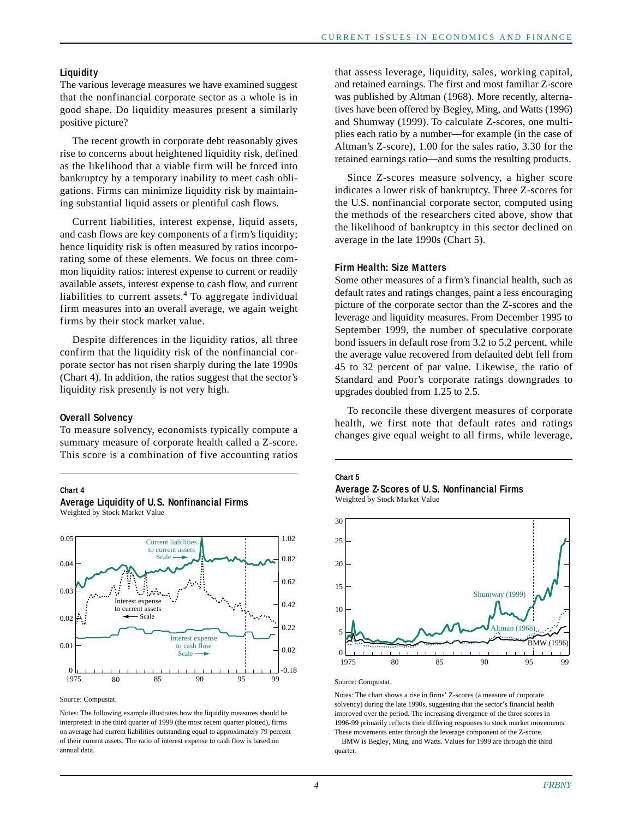## **Liquidity**

The various leverage measures we have examined suggest that the nonfinancial corporate sector as a whole is in good shape. Do liquidity measures present a similarly positive picture?

The recent growth in corporate debt reasonably gives rise to concerns about heightened liquidity risk, defined as the likelihood that a viable firm will be forced into bankruptcy by a temporary inability to meet cash obligations. Firms can minimize liquidity risk by maintaining substantial liquid assets or plentiful cash flows.

Current liabilities, interest expense, liquid assets, and cash flows are key components of a firm's liquidity; hence liquidity risk is often measured by ratios incorporating some of these elements. We focus on three common liquidity ratios: interest expense to current or readily available assets, interest expense to cash flow, and current liabilities to current assets. $4$  To aggregate individual firm measures into an overall average, we again weight firms by their stock market value.

Despite differences in the liquidity ratios, all three confirm that the liquidity risk of the nonfinancial corporate sector has not risen sharply during the late 1990s (Chart 4). In addition, the ratios suggest that the sector's liquidity risk presently is not very high.

#### **Overall Solvency**

Weighted by Stock Market Value

To measure solvency, economists typically compute a summary measure of corporate health called a Z-score. This score is a combination of five accounting ratios

**Average Liquidity of U.S. Nonfinancial Firms**

#### **Chart 4**



Source: Compustat.

Notes: The following example illustrates how the liquidity measures should be interpreted: in the third quarter of 1999 (the most recent quarter plotted), firms on average had current liabilities outstanding equal to approximately 79 percent of their current assets. The ratio of interest expense to cash flow is based on annual data.

that assess leverage, liquidity, sales, working capital, and retained earnings. The first and most familiar Z-score was published by Altman (1968). More recently, alternatives have been offered by Begley, Ming, and Watts (1996) and Shumway (1999). To calculate Z-scores, one multiplies each ratio by a number—for example (in the case of Altman's Z-score), 1.00 for the sales ratio, 3.30 for the retained earnings ratio—and sums the resulting products.

Since Z-scores measure solvency, a higher score indicates a lower risk of bankruptcy. Three Z-scores for the U.S. nonfinancial corporate sector, computed using the methods of the researchers cited above, show that the likelihood of bankruptcy in this sector declined on average in the late 1990s (Chart 5).

## **Firm Health: Size Matters**

Some other measures of a firm's financial health, such as default rates and ratings changes, paint a less encouraging picture of the corporate sector than the Z-scores and the leverage and liquidity measures. From December 1995 to September 1999, the number of speculative corporate bond issuers in default rose from 3.2 to 5.2 percent, while the average value recovered from defaulted debt fell from 45 to 32 percent of par value. Likewise, the ratio of Standard and Poor's corporate ratings downgrades to upgrades doubled from 1.25 to 2.5.

To reconcile these divergent measures of corporate health, we first note that default rates and ratings changes give equal weight to all firms, while leverage,

# **Chart 5**

**Average Z-Scores of U.S. Nonfinancial Firms** Weighted by Stock Market Value



Source: Compustat.

Notes: The chart shows a rise in firms' Z-scores (a measure of corporate solvency) during the late 1990s, suggesting that the sector's financial health improved over the period. The increasing divergence of the three scores in 1996-99 primarily reflects their differing responses to stock market movements. These movements enter through the leverage component of the Z-score.

 BMW is Begley, Ming, and Watts. Values for 1999 are through the third quarter.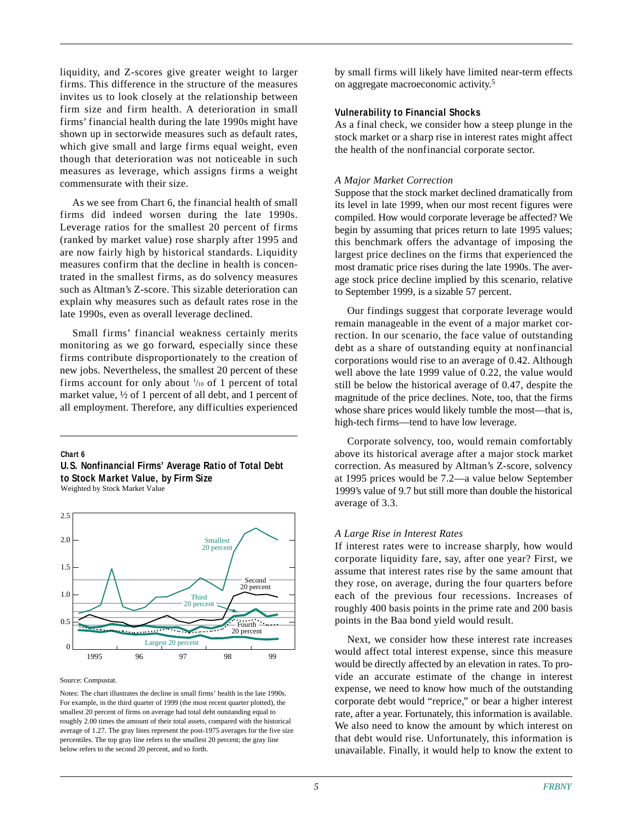liquidity, and Z-scores give greater weight to larger firms. This difference in the structure of the measures invites us to look closely at the relationship between firm size and firm health. A deterioration in small firms' financial health during the late 1990s might have shown up in sectorwide measures such as default rates, which give small and large firms equal weight, even though that deterioration was not noticeable in such measures as leverage, which assigns firms a weight commensurate with their size.

As we see from Chart 6, the financial health of small firms did indeed worsen during the late 1990s. Leverage ratios for the smallest 20 percent of firms (ranked by market value) rose sharply after 1995 and are now fairly high by historical standards. Liquidity measures confirm that the decline in health is concentrated in the smallest firms, as do solvency measures such as Altman's Z-score. This sizable deterioration can explain why measures such as default rates rose in the late 1990s, even as overall leverage declined.

Small firms' financial weakness certainly merits monitoring as we go forward, especially since these firms contribute disproportionately to the creation of new jobs. Nevertheless, the smallest 20 percent of these firms account for only about  $\frac{1}{100}$  of 1 percent of total market value, ½ of 1 percent of all debt, and 1 percent of all employment. Therefore, any difficulties experienced

#### **Chart 6**

## **U.S. Nonfinancial Firms' Average Ratio of Total Debt to Stock Market Value, by Firm Size** Weighted by Stock Market Value



#### Source: Compustat.

Notes: The chart illustrates the decline in small firms' health in the late 1990s. For example, in the third quarter of 1999 (the most recent quarter plotted), the smallest 20 percent of firms on average had total debt outstanding equal to roughly 2.00 times the amount of their total assets, compared with the historical average of 1.27. The gray lines represent the post-1975 averages for the five size percentiles. The top gray line refers to the smallest 20 percent; the gray line below refers to the second 20 percent, and so forth.

by small firms will likely have limited near-term effects on aggregate macroeconomic activity.5

## **Vulnerability to Financial Shocks**

As a final check, we consider how a steep plunge in the stock market or a sharp rise in interest rates might affect the health of the nonfinancial corporate sector.

#### *A Major Market Correction*

Suppose that the stock market declined dramatically from its level in late 1999, when our most recent figures were compiled. How would corporate leverage be affected? We begin by assuming that prices return to late 1995 values; this benchmark offers the advantage of imposing the largest price declines on the firms that experienced the most dramatic price rises during the late 1990s. The average stock price decline implied by this scenario, relative to September 1999, is a sizable 57 percent.

Our findings suggest that corporate leverage would remain manageable in the event of a major market correction. In our scenario, the face value of outstanding debt as a share of outstanding equity at nonfinancial corporations would rise to an average of 0.42. Although well above the late 1999 value of 0.22, the value would still be below the historical average of 0.47, despite the magnitude of the price declines. Note, too, that the firms whose share prices would likely tumble the most—that is, high-tech firms—tend to have low leverage.

Corporate solvency, too, would remain comfortably above its historical average after a major stock market correction. As measured by Altman's Z-score, solvency at 1995 prices would be 7.2—a value below September 1999's value of 9.7 but still more than double the historical average of 3.3.

#### *A Large Rise in Interest Rates*

If interest rates were to increase sharply, how would corporate liquidity fare, say, after one year? First, we assume that interest rates rise by the same amount that they rose, on average, during the four quarters before each of the previous four recessions. Increases of roughly 400 basis points in the prime rate and 200 basis points in the Baa bond yield would result.

Next, we consider how these interest rate increases would affect total interest expense, since this measure would be directly affected by an elevation in rates. To provide an accurate estimate of the change in interest expense, we need to know how much of the outstanding corporate debt would "reprice," or bear a higher interest rate, after a year. Fortunately, this information is available. We also need to know the amount by which interest on that debt would rise. Unfortunately, this information is unavailable. Finally, it would help to know the extent to